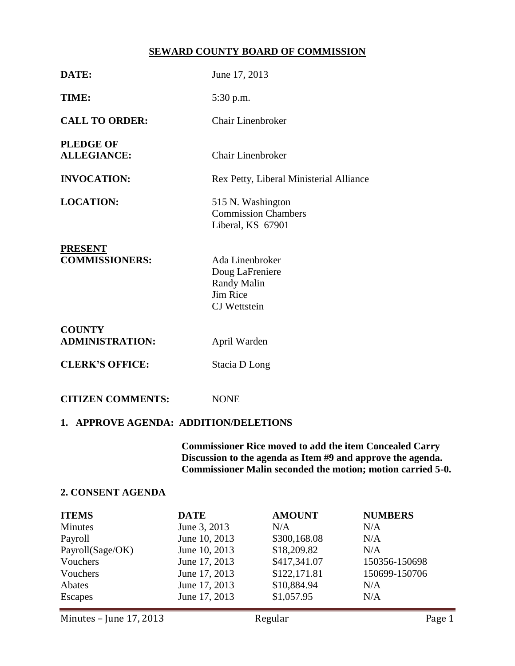# **SEWARD COUNTY BOARD OF COMMISSION**

| DATE:                                   | June 17, 2013                                                                               |  |  |  |
|-----------------------------------------|---------------------------------------------------------------------------------------------|--|--|--|
| TIME:                                   | 5:30 p.m.                                                                                   |  |  |  |
| <b>CALL TO ORDER:</b>                   | Chair Linenbroker                                                                           |  |  |  |
| <b>PLEDGE OF</b><br><b>ALLEGIANCE:</b>  | <b>Chair Linenbroker</b>                                                                    |  |  |  |
| <b>INVOCATION:</b>                      | Rex Petty, Liberal Ministerial Alliance                                                     |  |  |  |
| <b>LOCATION:</b>                        | 515 N. Washington<br><b>Commission Chambers</b><br>Liberal, KS 67901                        |  |  |  |
| <b>PRESENT</b><br><b>COMMISSIONERS:</b> | Ada Linenbroker<br>Doug LaFreniere<br><b>Randy Malin</b><br>Jim Rice<br><b>CJ</b> Wettstein |  |  |  |
| <b>COUNTY</b><br><b>ADMINISTRATION:</b> | April Warden                                                                                |  |  |  |
| <b>CLERK'S OFFICE:</b>                  | Stacia D Long                                                                               |  |  |  |
| <b>CITIZEN COMMENTS:</b>                | <b>NONE</b>                                                                                 |  |  |  |
| 1. APPROVE AGENDA: ADDITION/DELETIONS   |                                                                                             |  |  |  |

**Commissioner Rice moved to add the item Concealed Carry Discussion to the agenda as Item #9 and approve the agenda. Commissioner Malin seconded the motion; motion carried 5-0.**

## **2. CONSENT AGENDA**

| <b>ITEMS</b>     | <b>DATE</b>   | <b>AMOUNT</b> | <b>NUMBERS</b> |
|------------------|---------------|---------------|----------------|
| <b>Minutes</b>   | June 3, 2013  | N/A           | N/A            |
| Payroll          | June 10, 2013 | \$300,168.08  | N/A            |
| Payroll(Sage/OK) | June 10, 2013 | \$18,209.82   | N/A            |
| Vouchers         | June 17, 2013 | \$417,341.07  | 150356-150698  |
| Vouchers         | June 17, 2013 | \$122,171.81  | 150699-150706  |
| Abates           | June 17, 2013 | \$10,884.94   | N/A            |
| <b>Escapes</b>   | June 17, 2013 | \$1,057.95    | N/A            |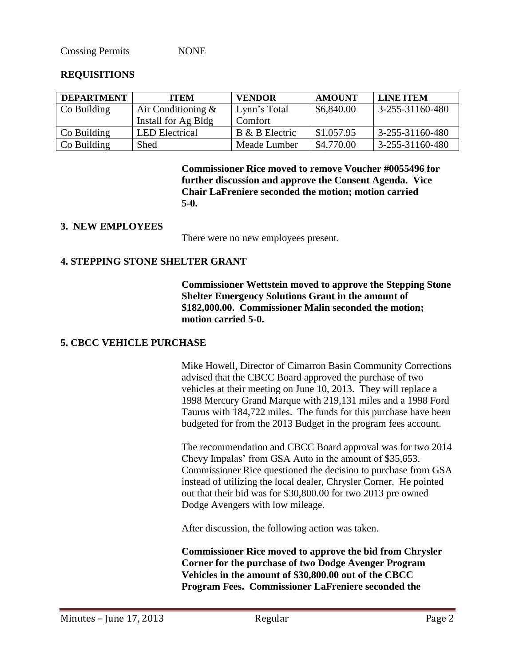Crossing Permits NONE

### **REQUISITIONS**

| <b>DEPARTMENT</b>   | <b>ITEM</b>           | <b>VENDOR</b>  | <b>AMOUNT</b> | <b>LINE ITEM</b>        |
|---------------------|-----------------------|----------------|---------------|-------------------------|
| Co Building         | Air Conditioning $\&$ | Lynn's Total   | \$6,840.00    | $3 - 255 - 31160 - 480$ |
|                     | Install for Ag Bldg   | Comfort        |               |                         |
| $\vert$ Co Building | <b>LED</b> Electrical | B & B Electric | \$1,057.95    | $3 - 255 - 31160 - 480$ |
| $\vert$ Co Building | <b>Shed</b>           | Meade Lumber   | \$4,770.00    | $3 - 255 - 31160 - 480$ |

**Commissioner Rice moved to remove Voucher #0055496 for further discussion and approve the Consent Agenda. Vice Chair LaFreniere seconded the motion; motion carried 5-0.**

### **3. NEW EMPLOYEES**

There were no new employees present.

## **4. STEPPING STONE SHELTER GRANT**

**Commissioner Wettstein moved to approve the Stepping Stone Shelter Emergency Solutions Grant in the amount of \$182,000.00. Commissioner Malin seconded the motion; motion carried 5-0.**

## **5. CBCC VEHICLE PURCHASE**

Mike Howell, Director of Cimarron Basin Community Corrections advised that the CBCC Board approved the purchase of two vehicles at their meeting on June 10, 2013. They will replace a 1998 Mercury Grand Marque with 219,131 miles and a 1998 Ford Taurus with 184,722 miles. The funds for this purchase have been budgeted for from the 2013 Budget in the program fees account.

The recommendation and CBCC Board approval was for two 2014 Chevy Impalas' from GSA Auto in the amount of \$35,653. Commissioner Rice questioned the decision to purchase from GSA instead of utilizing the local dealer, Chrysler Corner. He pointed out that their bid was for \$30,800.00 for two 2013 pre owned Dodge Avengers with low mileage.

After discussion, the following action was taken.

**Commissioner Rice moved to approve the bid from Chrysler Corner for the purchase of two Dodge Avenger Program Vehicles in the amount of \$30,800.00 out of the CBCC Program Fees. Commissioner LaFreniere seconded the**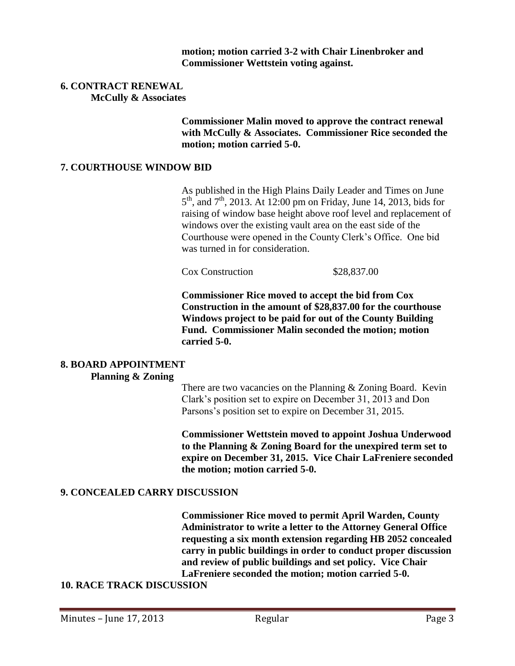**motion; motion carried 3-2 with Chair Linenbroker and Commissioner Wettstein voting against.**

#### **6. CONTRACT RENEWAL McCully & Associates**

**Commissioner Malin moved to approve the contract renewal with McCully & Associates. Commissioner Rice seconded the motion; motion carried 5-0.**

### **7. COURTHOUSE WINDOW BID**

As published in the High Plains Daily Leader and Times on June  $5<sup>th</sup>$ , and  $7<sup>th</sup>$ , 2013. At 12:00 pm on Friday, June 14, 2013, bids for raising of window base height above roof level and replacement of windows over the existing vault area on the east side of the Courthouse were opened in the County Clerk's Office. One bid was turned in for consideration.

Cox Construction \$28,837.00

**Commissioner Rice moved to accept the bid from Cox Construction in the amount of \$28,837.00 for the courthouse Windows project to be paid for out of the County Building Fund. Commissioner Malin seconded the motion; motion carried 5-0.**

#### **8. BOARD APPOINTMENT Planning & Zoning**

There are two vacancies on the Planning & Zoning Board. Kevin Clark's position set to expire on December 31, 2013 and Don Parsons's position set to expire on December 31, 2015.

**Commissioner Wettstein moved to appoint Joshua Underwood to the Planning & Zoning Board for the unexpired term set to expire on December 31, 2015. Vice Chair LaFreniere seconded the motion; motion carried 5-0.**

## **9. CONCEALED CARRY DISCUSSION**

**Commissioner Rice moved to permit April Warden, County Administrator to write a letter to the Attorney General Office requesting a six month extension regarding HB 2052 concealed carry in public buildings in order to conduct proper discussion and review of public buildings and set policy. Vice Chair LaFreniere seconded the motion; motion carried 5-0.**

## **10. RACE TRACK DISCUSSION**